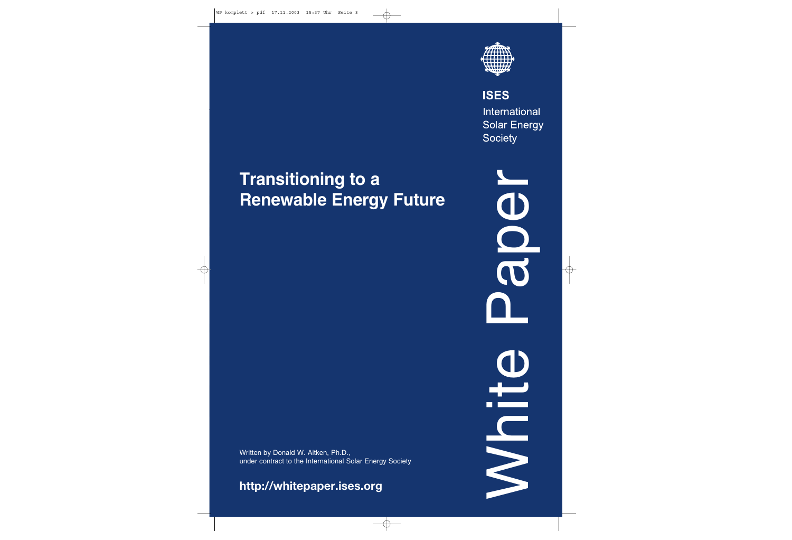

**ISES** International **Solar Energy Society** 

# **Transitioning to a Renewable Energy Future** Transitioning to a<br>Renewable Energy Future<br>
ander on taken, Ph.D., under contract to the International Solar Energy Society<br>
http://whitepaper.ises.org<br>
http://whitepaper.ises.org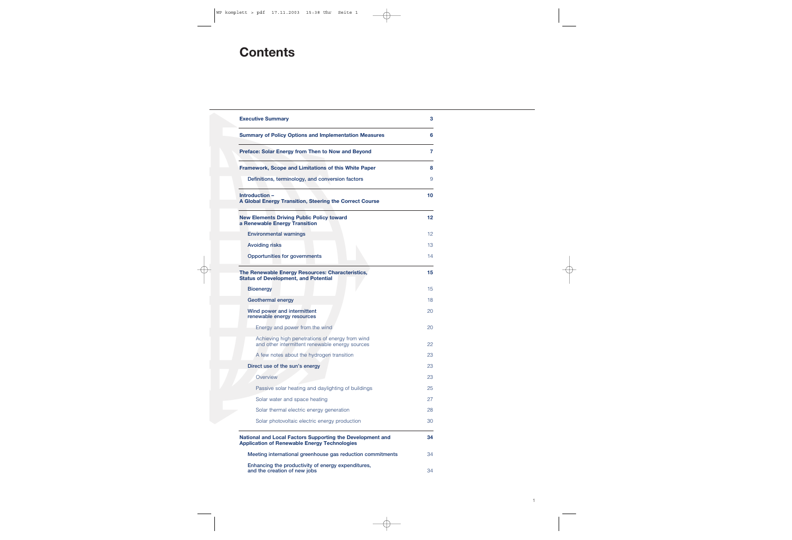# **Contents**

| <b>Executive Summary</b>                                                                                         | 3  |
|------------------------------------------------------------------------------------------------------------------|----|
| <b>Summary of Policy Options and Implementation Measures</b>                                                     | 6  |
| <b>Preface: Solar Energy from Then to Now and Beyond</b>                                                         | 7  |
| <b>Framework, Scope and Limitations of this White Paper</b>                                                      | 8  |
| Definitions, terminology, and conversion factors                                                                 | 9  |
| Introduction -<br>A Global Energy Transition, Steering the Correct Course                                        | 10 |
| <b>New Elements Driving Public Policy toward</b><br>a Renewable Energy Transition                                | 12 |
| <b>Environmental warnings</b>                                                                                    | 12 |
| <b>Avoiding risks</b>                                                                                            | 13 |
| <b>Opportunities for governments</b>                                                                             | 14 |
| The Renewable Energy Resources: Characteristics,<br><b>Status of Development, and Potential</b>                  | 15 |
| <b>Bioenergy</b>                                                                                                 | 15 |
| <b>Geothermal energy</b>                                                                                         | 18 |
| Wind power and intermittent<br>renewable energy resources                                                        | 20 |
| Energy and power from the wind                                                                                   | 20 |
| Achieving high penetrations of energy from wind<br>and other intermittent renewable energy sources               | 22 |
| A few notes about the hydrogen transition                                                                        | 23 |
| Direct use of the sun's energy                                                                                   | 23 |
| Overview                                                                                                         | 23 |
| Passive solar heating and daylighting of buildings                                                               | 25 |
| Solar water and space heating                                                                                    | 27 |
| Solar thermal electric energy generation                                                                         | 28 |
| Solar photovoltaic electric energy production                                                                    | 30 |
| National and Local Factors Supporting the Development and<br><b>Application of Renewable Energy Technologies</b> | 34 |
| Meeting international greenhouse gas reduction commitments                                                       | 34 |
| Enhancing the productivity of energy expenditures,<br>and the creation of new jobs                               | 34 |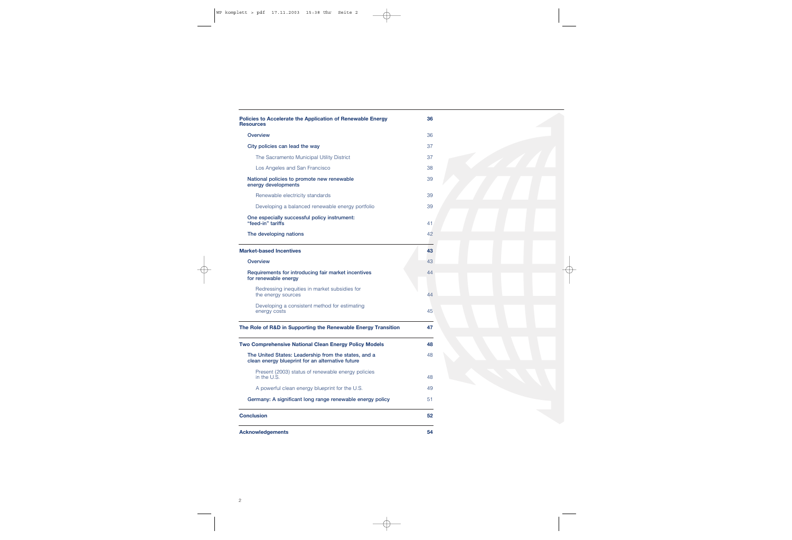| <b>Policies to Accelerate the Application of Renewable Energy</b><br><b>Resources</b>                    | 36 |  |
|----------------------------------------------------------------------------------------------------------|----|--|
| <b>Overview</b>                                                                                          | 36 |  |
| City policies can lead the way                                                                           | 37 |  |
| The Sacramento Municipal Utility District                                                                | 37 |  |
| Los Angeles and San Francisco                                                                            | 38 |  |
| National policies to promote new renewable<br>energy developments                                        | 39 |  |
| Renewable electricity standards                                                                          | 39 |  |
| Developing a balanced renewable energy portfolio                                                         | 39 |  |
| One especially successful policy instrument:<br>"feed-in" tariffs                                        | 41 |  |
| The developing nations                                                                                   | 42 |  |
| <b>Market-based Incentives</b>                                                                           | 43 |  |
| <b>Overview</b>                                                                                          | 43 |  |
| Requirements for introducing fair market incentives<br>for renewable energy                              | 44 |  |
| Redressing inequities in market subsidies for<br>the energy sources                                      | 44 |  |
| Developing a consistent method for estimating<br>energy costs                                            | 45 |  |
| The Role of R&D in Supporting the Renewable Energy Transition                                            | 47 |  |
| <b>Two Comprehensive National Clean Energy Policy Models</b>                                             | 48 |  |
| The United States: Leadership from the states, and a<br>clean energy blueprint for an alternative future | 48 |  |
| Present (2003) status of renewable energy policies<br>in the U.S.                                        | 48 |  |
| A powerful clean energy blueprint for the U.S.                                                           | 49 |  |
| Germany: A significant long range renewable energy policy                                                | 51 |  |
| <b>Conclusion</b>                                                                                        | 52 |  |
| <b>Acknowledgements</b>                                                                                  | 54 |  |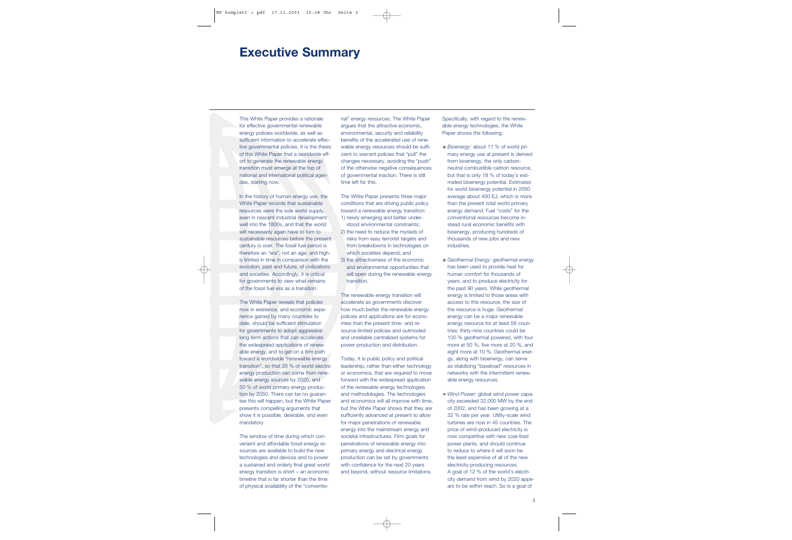### **Executive Summary**

This White Paper provides a rationale for effective governmental renewable energy policies worldwide, as well as sufficient information to accelerate effective governmental policies. It is the thesis of this White Paper that a worldwide effort to generate the renewable energy transition must emerge at the top of national and international political agendas, starting now.

In the history of human energy use, the White Paper records that sustainable resources were the sole world supply, even in nascent industrial development well into the 1800s, and that the world will necessarily again have to turn to sustainable resources before the present century is over. The fossil fuel period is therefore an "era", not an age, and highly limited in time in comparison with the evolution, past and future, of civilizations and societies. Accordingly, it is critical for governments to view what remains of the fossil fuel era as a transition.

The White Paper reveals that policies now in existence, and economic experience gained by many countries to date, should be sufficient stimulation for governments to adopt aggressive long-term actions that can accelerate the widespread applications of renewable energy, and to get on a firm path toward a worldwide "renewable energy transition", so that 20 % of world electric energy production can come from renewable energy sources by 2020, and 50 % of world primary energy production by 2050. There can be no guarantee this will happen, but the White Paper presents compelling arguments that show it is possible, desirable, and even mandatory.

The window of time during which convenient and affordable fossil energy resources are available to build the new technologies and devices and to power a sustained and orderly final great world energy transition is short – an economic timeline that is far shorter than the time of physical availability of the "conventional" energy resources. The White Paper argues that the attractive economic, environmental, security and reliability benefits of the accelerated use of rene wable energy resources should be suffi cient to warrant policies that "pull" the changes necessary, avoiding the "push" of the otherwise negative consequences of governmental inaction. There is still time left for this.<br>The White Paper presents three major

conditions that are driving public policy toward a renewable energy transition: 1) newly emerging and better under-

- stood environmental constraints; 2) the need to reduce the myriads of
- risks from easy terrorist targets and from breakdowns in technologies on which societies depend; and<br>3) the attractiveness of the economic
- and environmental opportunities that will open during the renewable energy transition.<br>The renewable energy transition will

accelerate as governments discover how much better the renewable energy policies and applications are for econo mies than the present time- and re source-limited policies and outmoded and unreliable centralized systems for power production and distribution. Today, it is public policy and political

leadership, rather than either technology or economics, that are required to move forward with the widespread application of the renewable energy technologies and methodologies. The technologies and economics will all improve with time, but the White Paper shows that they are sufficiently advanced at present to allow for major penetrations of renewable energy into the mainstream energy and societal infrastructures. Firm goals for penetrations of renewable energy into primary energy and electrical energy production can be set by governments with confidence for the next 20 years

- 
- had nongy toosocote. The White Paper Tensor<br>Had nongy to the concernent and the concernent and the concernent and the concernent and the concernent and the starting and the concernent and the starting and the starting of t
	- city demand from wind by 2020 appe ars to be within reach. So is a goal of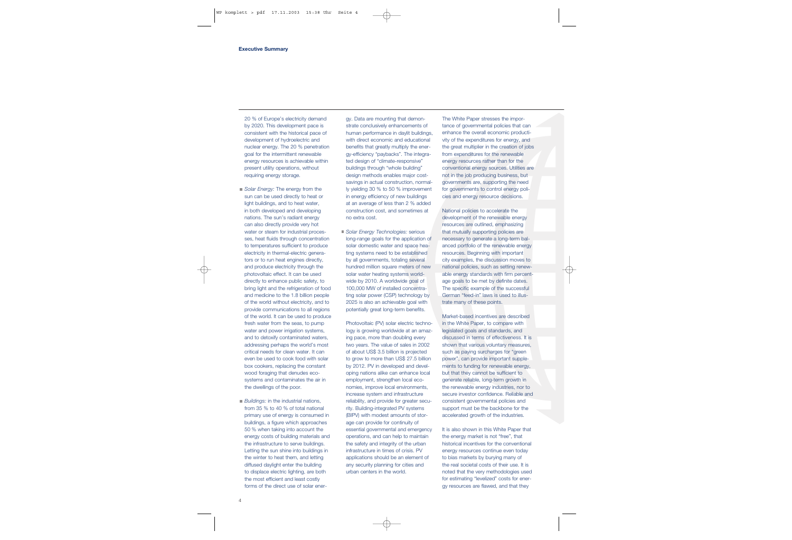20 % of Europe's electricity demand by 2020. This development pace is consistent with the historical pace of development of hydroelectric and nuclear energy. The 20 % penetration goal for the intermittent renewable energy resources is achievable within present utility operations, without requiring energy storage.

- *Solar Energy:* The energy from the sun can be used directly to heat or light buildings, and to heat water, in both developed and developing nations. The sun's radiant energy can also directly provide very hot water or steam for industrial processes, heat fluids through concentration to temperatures sufficient to produce electricity in thermal-electric generators or to run heat engines directly, and produce electricity through the photovoltaic effect. It can be used directly to enhance public safety, to bring light and the refrigeration of food and medicine to the 1.8 billion people of the world without electricity, and to provide communications to all regions of the world. It can be used to produce fresh water from the seas, to pump water and power irrigation systems, and to detoxify contaminated waters, addressing perhaps the world's most critical needs for clean water. It can even be used to cook food with solar box cookers, replacing the constant wood foraging that denudes ecosystems and contaminates the air in the dwellings of the poor.
- *Buildings:* in the industrial nations, from 35 % to 40 % of total national primary use of energy is consumed in buildings, a figure which approaches 50 % when taking into account the energy costs of building materials and the infrastructure to serve buildings. Letting the sun shine into buildings in the winter to heat them, and letting diffused daylight enter the building to displace electric lighting, are both the most efficient and least costly forms of the direct use of solar ener-

gy. Data are mounting that demon strate conclusively enhancements of human performance in daylit buildings, with direct economic and educational benefits that greatly multiply the ener gy-efficiency "paybacks". The integra ted design of "climate-responsive" buildings through "whole building" design methods enables major cost savings in actual construction, normal ly yielding 30 % to 50 % improvement in energy efficiency of new buildings at an average of less than 2 % added construction cost, and sometimes at no extra cost.

*Solar Energy Technologies:* serious long-range goals for the application of solar domestic water and space hea ting systems need to be established by all governments, totaling several hundred million square meters of new solar water heating systems world wide by 2010. A worldwide goal of 100,000 MW of installed concentra ting solar power (CSP) technology by 2025 is also an achievable goal with potentially great long-term benefits. Photovoltaic (PV) solar electric techno-

logy is growing worldwide at an amaz ing pace, more than doubling every two years. The value of sales in 2002 of about US\$ 3.5 billion is projected to grow to more than US\$ 27.5 billion by 2012. PV in developed and devel oping nations alike can enhance local employment, strengthen local eco nomies, improve local environments, increase system and infrastructure reliability, and provide for greater secu rity. Building-integrated PV systems (BIPV) with modest amounts of stor age can provide for continuity of essential governmental and emergency operations, and can help to maintain the safety and integrity of the urban infrastructure in times of crisis. PV applications should be an element of any security planning for cities and gy. Dala are mounting that damon-<br>
are mounting that damon the state of the constants are mounted in the constant of the constant of the constant<br>
that once of given the constant of day it buildings, contance the overall

for estimating "levelized" costs for ener gy resources are flawed, and that they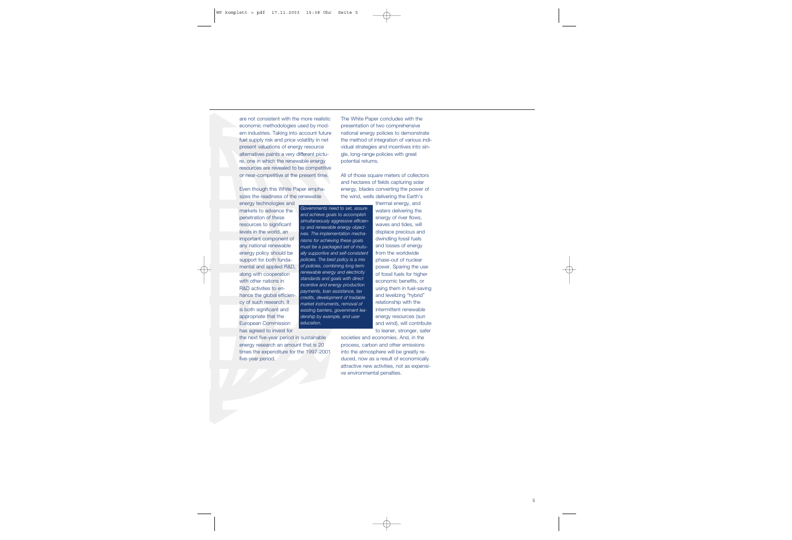are not consistent with the more realistic economic methodologies used by modern industries. Taking into account future fuel supply risk and price volatility in net present valuations of energy resource alternatives paints a very different picture, one in which the renewable energy resources are revealed to be competitive or near-competitive at the present time.

Even though this White Paper emphasizes the readiness of the renewable

energy technologies and markets to advance the penetration of these resources to significant levels in the world, an important component of any national renewable energy policy should be support for both fundamental and applied R&D, along with cooperation with other nations in R&D activities to enhance the global efficiency of such research. It is both significant and appropriate that the European Commission has agreed to invest for

The White Paper concludes with the presentation of two comprehensive national energy policies to demonstrate the method of integration of various individual strategies and incentives into single, long-range policies with great potential returns.

All of those square meters of collectors and hectares of fields capturing solar energy, blades converting the power of the wind, wells delivering the Earth's

*Governments need to set, assure and achieve goals to accomplish simultaneously aggressive efficiency and renewable energy objectives. The implementation mechanisms for achieving these goals must be a packaged set of mutually supportive and self-consistent policies. The best policy is a mix of policies, combining long term renewable energy and electricity standards and goals with direct incentive and energy production payments, loan assistance, tax credits, development of tradable market instruments, removal of existing barriers, government leadership by example, and user education.*

the next five-year period in sustainable energy research an amount that is 20 times the expenditure for the 1997-2001 five-year period.

thermal energy, and waters delivering the energy of river flows, waves and tides, will displace precious and dwindling fossil fuels and losses of energy from the worldwide phase-out of nuclear power. Sparing the use of fossil fuels for higher economic benefits, or using them in fuel-saving and levelizing "hybrid" relationship with the intermittent renewable energy resources (sun and wind), will contribute to leaner, stronger, safer

societies and economies. And, in the process, carbon and other emissions into the atmosphere will be greatly reduced, now as a result of economically attractive new activities, not as expensive environmental penalties.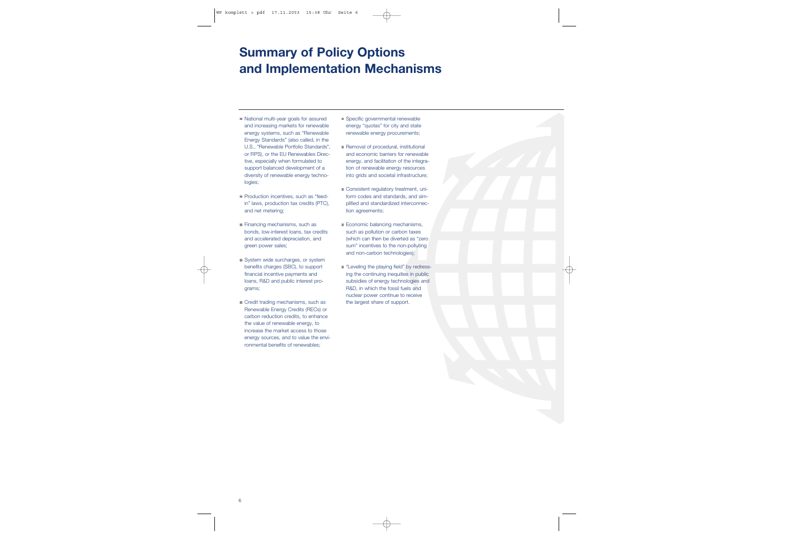# **Summary of Policy Options and Implementation Mechanisms**

- National multi-year goals for assured and increasing markets for renewable energy systems, such as "Renewable Energy Standards" (also called, in the U.S., "Renewable Portfolio Standards", or RPS), or the EU Renewables Directive, especially when formulated to support balanced development of a diversity of renewable energy technologies;
- **Production incentives, such as "feed**in" laws, production tax credits (PTC), and net metering;
- Financing mechanisms, such as bonds, low-interest loans, tax credits and accelerated depreciation, and green power sales;
- System wide surcharges, or system benefits charges (SBC), to support financial incentive payments and loans, R&D and public interest programs;
- Credit trading mechanisms, such as Renewable Energy Credits (RECs) or carbon reduction credits, to enhance the value of renewable energy, to increase the market access to those energy sources, and to value the environmental benefits of renewables;
- Specific governmental renewable energy "quotas" for city and state renewable energy procurements;
- Removal of procedural, institutional and economic barriers for renewable energy, and facilitation of the integration of renewable energy resources into grids and societal infrastructure;
- Consistent regulatory treatment, uniform codes and standards, and simplified and standardized interconnection agreements;
- Economic balancing mechanisms, such as pollution or carbon taxes (which can then be diverted as "zero sum" incentives to the non-polluting and non-carbon technologies);
- **E** "Leveling the playing field" by redressing the continuing inequities in public subsidies of energy technologies and R&D, in which the fossil fuels and nuclear power continue to receive the largest share of support.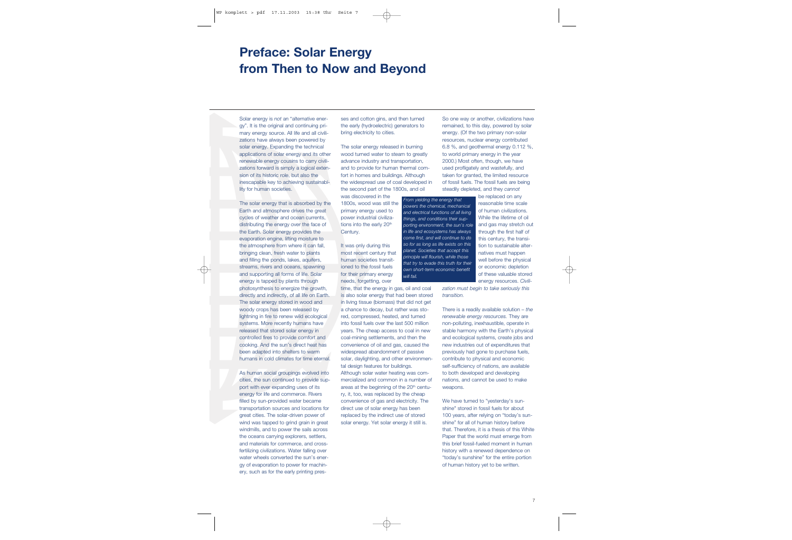# **Preface: Solar Energy from Then to Now and Beyond**

Solar energy is *not* an "alternative energy". It is the original and continuing primary energy source. All life and all civilizations have always been powered by solar energy. Expanding the technical applications of solar energy and its other renewable energy cousins to carry civilizations forward is simply a logical extension of its historic role, but also the inescapable key to achieving sustainability for human societies.

The solar energy that is absorbed by the Earth and atmosphere drives the great cycles of weather and ocean currents, distributing the energy over the face of the Earth. Solar energy provides the evaporation engine, lifting moisture to the atmosphere from where it can fall, bringing clean, fresh water to plants and filling the ponds, lakes, aquifers, streams, rivers and oceans, spawning and supporting all forms of life. Solar energy is tapped by plants through photosynthesis to energize the growth, directly and indirectly, of all life on Earth. The solar energy stored in wood and woody crops has been released by lightning in fire to renew wild ecological systems. More recently humans have released that stored solar energy in controlled fires to provide comfort and cooking. And the sun's direct heat has been adapted into shelters to warm humans in cold climates for time eternal.

As human social groupings evolved into cities, the sun continued to provide support with ever expanding uses of its energy for life and commerce. Rivers filled by sun-provided water became transportation sources and locations for great cities. The solar-driven power of wind was tapped to grind grain in great windmills, and to power the sails across the oceans carrying explorers, settlers, and materials for commerce, and crossfertilizing civilizations. Water falling over water wheels converted the sun's energy of evaporation to power for machinery, such as for the early printing presses and cotton gins, and then turned the early (hydroelectric) generators to bring electricity to cities.<br>The solar energy released in burning

wood turned water to steam to greatly advance industry and transportation, and to provide for human thermal com fort in homes and buildings. Although the widespread use of coal developed in the second part of the 1800s, and oil

was discovered in the 1800s, wood was still the primary energy used to power industrial civiliza tions into the early 20<sup>th</sup> Century.<br>It was only during this

most recent century that human societies transit ioned to the fossil fuels for their primary energy needs, forgetting, over

time, that the energy in gas, oil and coal is also solar energy that had been stored in living tissue (biomass) that did not get a chance to decay, but rather was sto red, compressed, heated, and turned into fossil fuels over the last 500 million years. The cheap access to coal in new coal-mining settlements, and then the convenience of oil and gas, caused the widespread abandonment of passive solar, daylighting, and other environmen tal design features for buildings. Although solar water heating was com mercialized and common in a number of areas at the beginning of the 20<sup>th</sup> century, it, too, was replaced by the cheap convenience of gas and electricity. The direct use of solar energy has been replaced by the indirect use of stored ses and colling may and this lumined<br>
the east of the theorem (and the may or another collid and policid in the state of the state mention of the colling of the total mention of the colling method turned were provided in t

*From yielding the energy that powers the chemical, mechanical and electrical functions of all living things, and conditions their supporting environment, the sun's role in life and ecosystems has always come first, and will continue to do so for as long as life exists on this planet. Societies that accept this principle will flourish, while those that try to evade this truth for their own short-term economic benefit will fail.*

that. Therefore, it is a thesis of this White Paper that the world must emerge from this brief fossil-fueled moment in human history with a renewed dependence on "today's sunshine" for the entire portion of human history yet to be written.